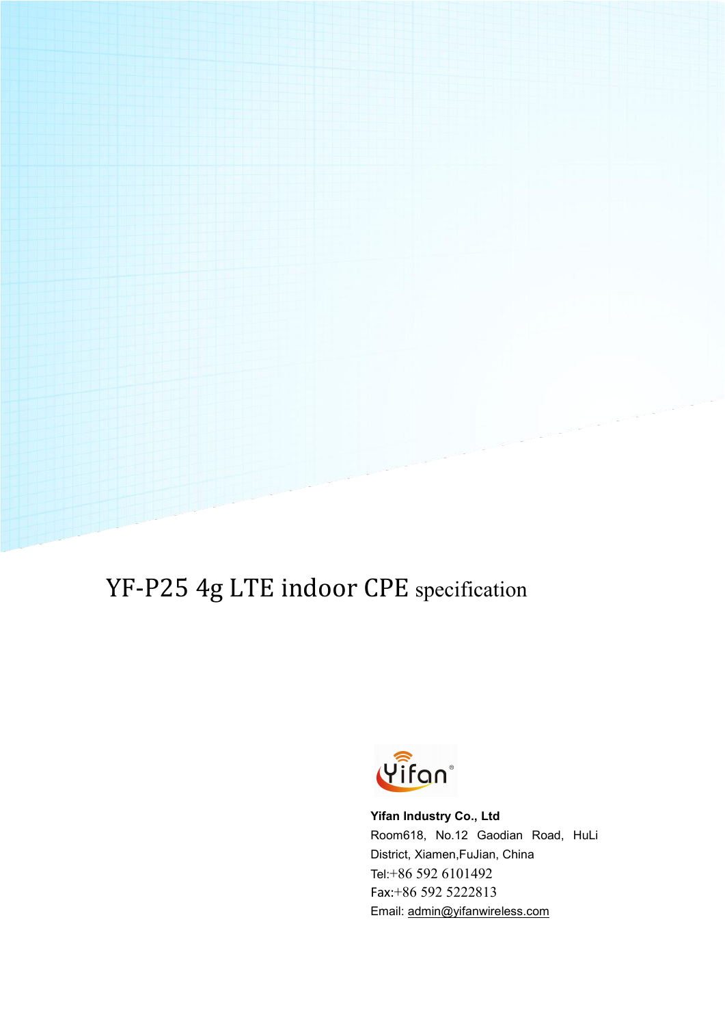# YF-P25 4g LTE indoor CPE specification



**Yifan Industry Co., Ltd** Room618, No.12 Gaodian Road, HuLi District, Xiamen,FuJian, China Tel:+86 592 6101492 Fax:+86 592 5222813 Email: [admin@yifanwireless.com](mailto:admin@yifanwireless.com)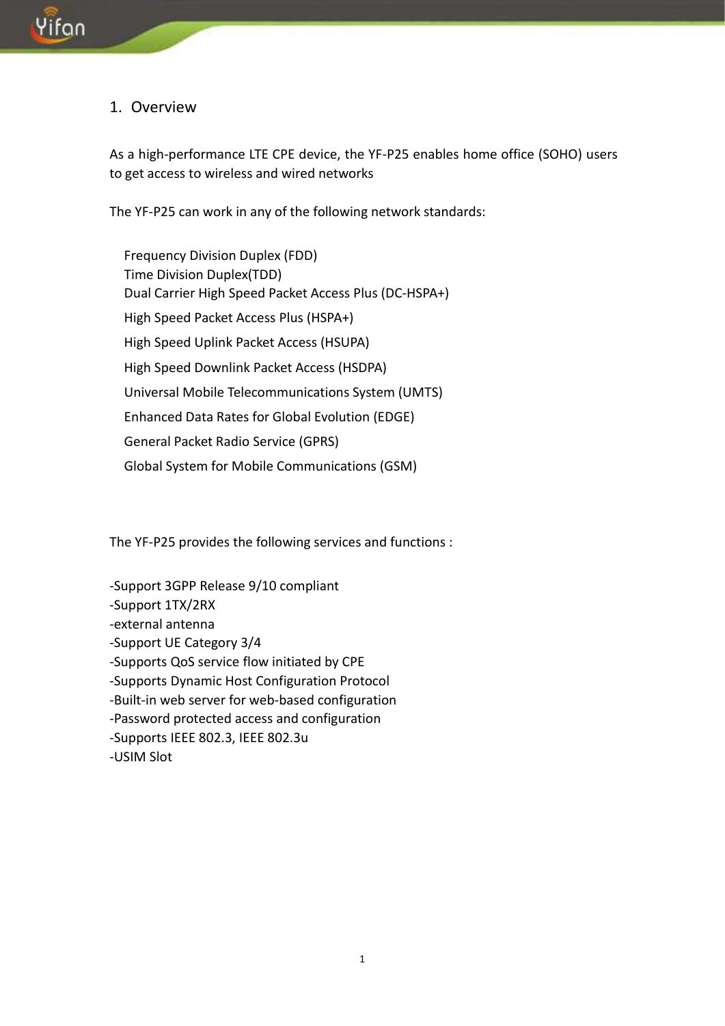#### 1. Overview

As a high-performance LTE CPE device, the YF-P25 enables home office (SOHO) users to get access to wireless and wired networks

The YF-P25 can work in any of the following network standards:

Frequency Division Duplex (FDD) Time Division Duplex(TDD) Dual Carrier High Speed Packet Access Plus (DC-HSPA+) High Speed Packet Access Plus (HSPA+) High Speed Uplink Packet Access (HSUPA) High Speed Downlink Packet Access (HSDPA) Universal Mobile Telecommunications System (UMTS) Enhanced Data Rates for Global Evolution (EDGE) General Packet Radio Service (GPRS) Global System for Mobile Communications (GSM)

The YF-P25 provides the following services and functions :

-Support 3GPP Release 9/10 compliant -Support 1TX/2RX -external antenna -Support UE Category 3/4 -Supports QoS service flow initiated by CPE -Supports Dynamic Host Configuration Protocol -Built-in web server for web-based configuration -Password protected access and configuration -Supports IEEE 802.3, IEEE 802.3u -USIM Slot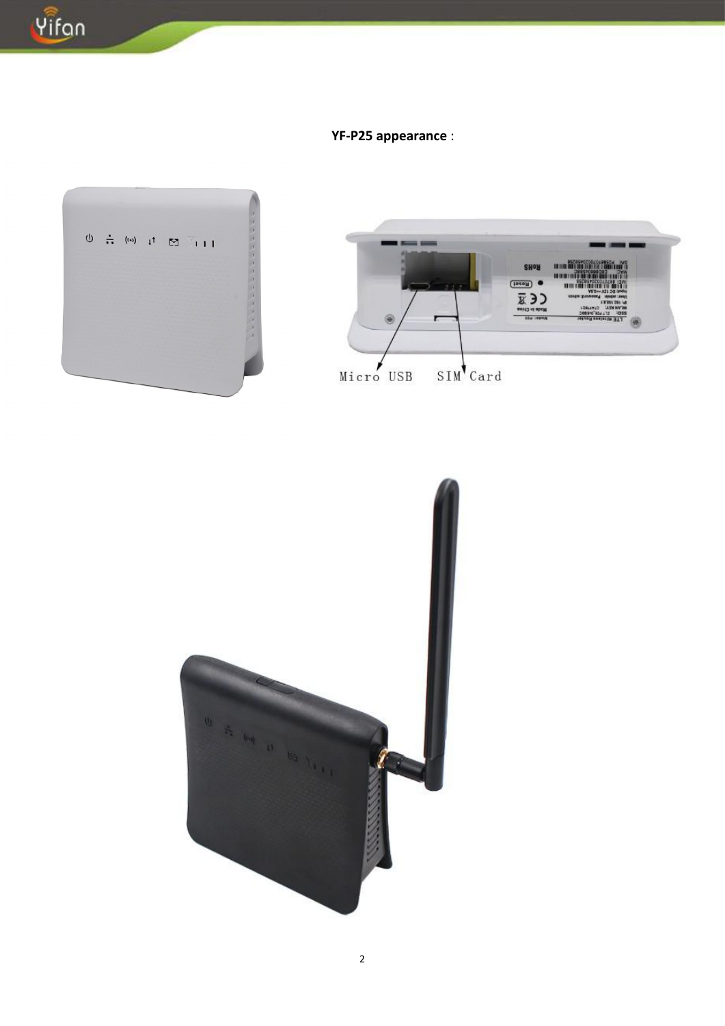

### YF-P25 appearance :





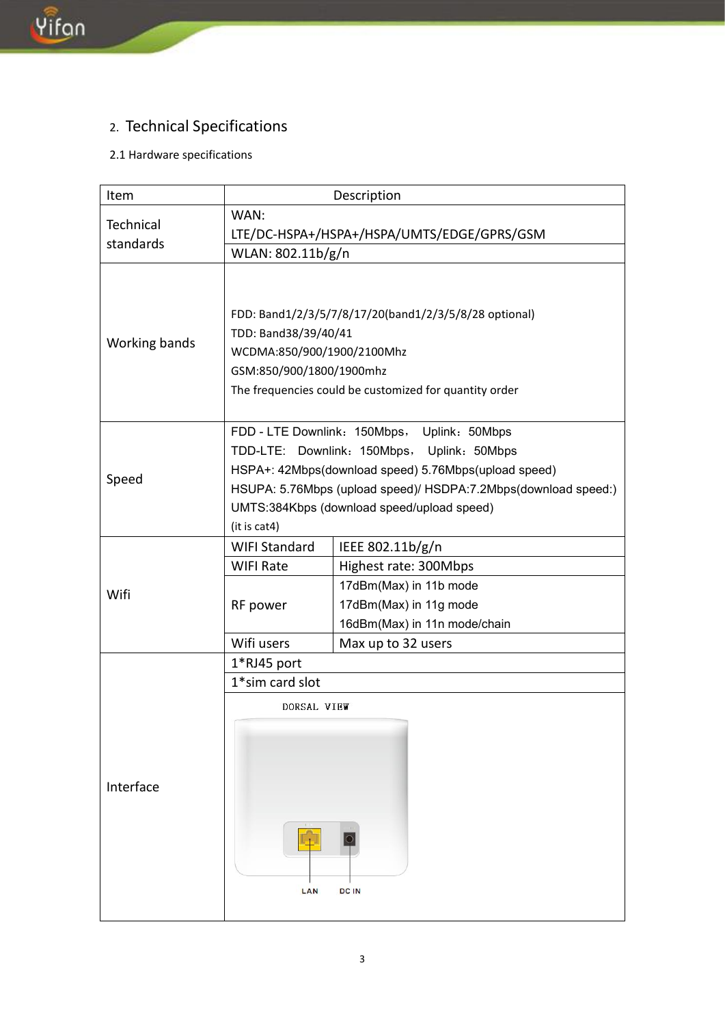# 2. Technical Specifications

### 2.1 Hardware specifications

| Item                   | Description                                                                                                                                                                                                                                                                       |                                                                                                                                                     |  |
|------------------------|-----------------------------------------------------------------------------------------------------------------------------------------------------------------------------------------------------------------------------------------------------------------------------------|-----------------------------------------------------------------------------------------------------------------------------------------------------|--|
| Technical<br>standards | WAN:<br>LTE/DC-HSPA+/HSPA+/HSPA/UMTS/EDGE/GPRS/GSM<br>WLAN: 802.11b/g/n                                                                                                                                                                                                           |                                                                                                                                                     |  |
| Working bands          | FDD: Band1/2/3/5/7/8/17/20(band1/2/3/5/8/28 optional)<br>TDD: Band38/39/40/41<br>WCDMA:850/900/1900/2100Mhz<br>GSM:850/900/1800/1900mhz<br>The frequencies could be customized for quantity order                                                                                 |                                                                                                                                                     |  |
| Speed                  | FDD - LTE Downlink: 150Mbps, Uplink: 50Mbps<br>TDD-LTE: Downlink: 150Mbps, Uplink: 50Mbps<br>HSPA+: 42Mbps(download speed) 5.76Mbps(upload speed)<br>HSUPA: 5.76Mbps (upload speed)/ HSDPA:7.2Mbps(download speed:)<br>UMTS:384Kbps (download speed/upload speed)<br>(it is cat4) |                                                                                                                                                     |  |
| Wifi                   | <b>WIFI Standard</b><br><b>WIFI Rate</b><br>RF power<br>Wifi users                                                                                                                                                                                                                | IEEE 802.11b/g/n<br>Highest rate: 300Mbps<br>17dBm(Max) in 11b mode<br>17dBm(Max) in 11g mode<br>16dBm(Max) in 11n mode/chain<br>Max up to 32 users |  |
| Interface              | 1*RJ45 port<br>1*sim card slot<br>DORSAL VIEW<br>LAN<br><b>DCIN</b>                                                                                                                                                                                                               |                                                                                                                                                     |  |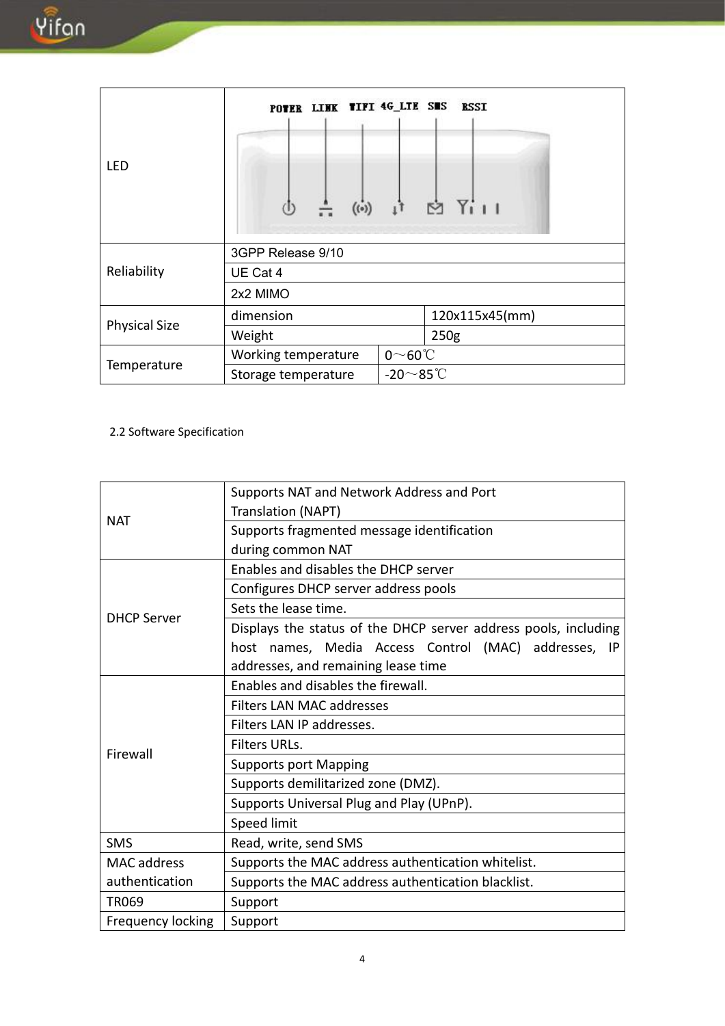| <b>LED</b>           | $\stackrel{a}{\longrightarrow}$ ((e)) | POTER LINK TIFI 4G_LTE SMS RSSI<br>$\frac{1}{11}$ $\approx$ $\frac{1}{111}$ |  |  |  |
|----------------------|---------------------------------------|-----------------------------------------------------------------------------|--|--|--|
| Reliability          | 3GPP Release 9/10                     |                                                                             |  |  |  |
|                      | UE Cat 4                              |                                                                             |  |  |  |
|                      | 2x2 MIMO                              |                                                                             |  |  |  |
| <b>Physical Size</b> | dimension                             | 120x115x45(mm)                                                              |  |  |  |
|                      | Weight                                | 250 <sub>g</sub>                                                            |  |  |  |
|                      | Working temperature                   | $0^\sim$ 60°C                                                               |  |  |  |
| Temperature          | Storage temperature                   | -20 $\sim$ 85°C                                                             |  |  |  |

#### 2.2 Software Specification

|                    | Supports NAT and Network Address and Port                       |  |  |
|--------------------|-----------------------------------------------------------------|--|--|
|                    | <b>Translation (NAPT)</b>                                       |  |  |
| <b>NAT</b>         | Supports fragmented message identification                      |  |  |
|                    | during common NAT                                               |  |  |
| <b>DHCP Server</b> | Enables and disables the DHCP server                            |  |  |
|                    | Configures DHCP server address pools                            |  |  |
|                    | Sets the lease time.                                            |  |  |
|                    | Displays the status of the DHCP server address pools, including |  |  |
|                    | host names, Media Access Control (MAC) addresses, IP            |  |  |
|                    | addresses, and remaining lease time                             |  |  |
| Firewall           | Enables and disables the firewall.                              |  |  |
|                    | <b>Filters LAN MAC addresses</b>                                |  |  |
|                    | Filters LAN IP addresses.                                       |  |  |
|                    | Filters URLs.                                                   |  |  |
|                    | <b>Supports port Mapping</b>                                    |  |  |
|                    | Supports demilitarized zone (DMZ).                              |  |  |
|                    | Supports Universal Plug and Play (UPnP).                        |  |  |
|                    | Speed limit                                                     |  |  |
| <b>SMS</b>         | Read, write, send SMS                                           |  |  |
| MAC address        | Supports the MAC address authentication whitelist.              |  |  |
| authentication     | Supports the MAC address authentication blacklist.              |  |  |
| <b>TR069</b>       | Support                                                         |  |  |
| Frequency locking  | Support                                                         |  |  |